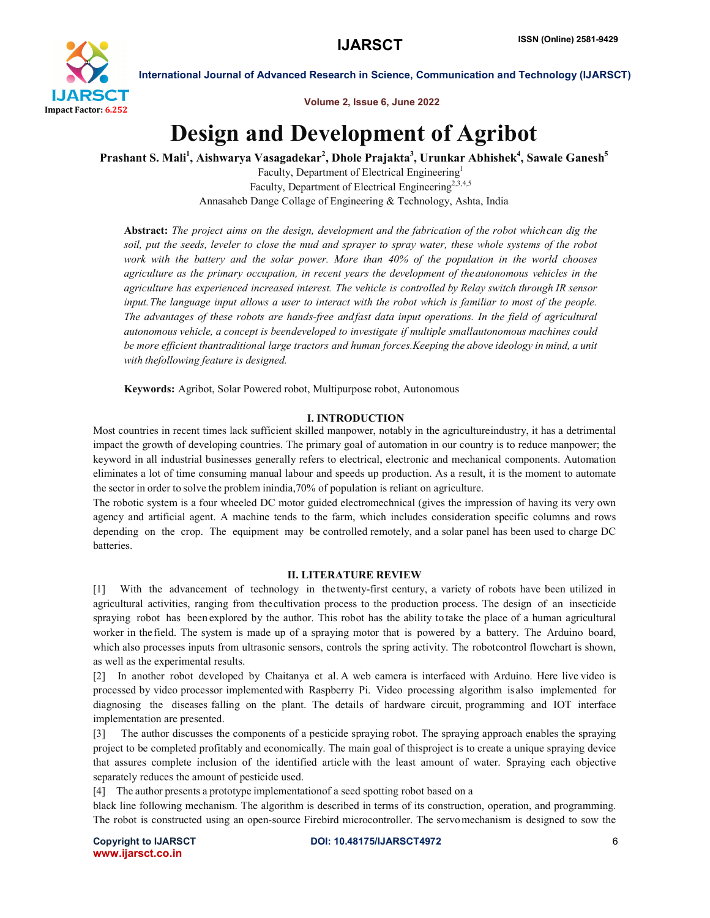

Volume 2, Issue 6, June 2022

## Design and Development of Agribot

Prashant S. Mali<sup>1</sup>, Aishwarya Vasagadekar<sup>2</sup>, Dhole Prajakta<sup>3</sup>, Urunkar Abhishek<sup>4</sup>, Sawale Ganesh<sup>5</sup>

Faculty, Department of Electrical Engineering1 Faculty, Department of Electrical Engineering<sup>2,3,4,5</sup> Annasaheb Dange Collage of Engineering & Technology, Ashta, India

Abstract: *The project aims on the design, development and the fabrication of the robot whichcan dig the soil, put the seeds, leveler to close the mud and sprayer to spray water, these whole systems of the robot work with the battery and the solar power. More than 40% of the population in the world chooses agriculture as the primary occupation, in recent years the development of theautonomous vehicles in the agriculture has experienced increased interest. The vehicle is controlled by Relay switch through IR sensor input.The language input allows a user to interact with the robot which is familiar to most of the people. The advantages of these robots are hands-free andfast data input operations. In the field of agricultural autonomous vehicle, a concept is beendeveloped to investigate if multiple smallautonomous machines could be more efficient thantraditional large tractors and human forces.Keeping the above ideology in mind, a unit with thefollowing feature is designed.*

Keywords: Agribot, Solar Powered robot, Multipurpose robot, Autonomous

#### I. INTRODUCTION

Most countries in recent times lack sufficient skilled manpower, notably in the agricultureindustry, it has a detrimental impact the growth of developing countries. The primary goal of automation in our country is to reduce manpower; the keyword in all industrial businesses generally refers to electrical, electronic and mechanical components. Automation eliminates a lot of time consuming manual labour and speeds up production. As a result, it is the moment to automate the sector in order to solve the problem inindia,70% of population is reliant on agriculture.

The robotic system is a four wheeled DC motor guided electromechnical (gives the impression of having its very own agency and artificial agent. A machine tends to the farm, which includes consideration specific columns and rows depending on the crop. The equipment may be controlled remotely, and a solar panel has been used to charge DC batteries.

#### II. LITERATURE REVIEW

[1] With the advancement of technology in the twenty-first century, a variety of robots have been utilized in agricultural activities, ranging from the cultivation process to the production process. The design of an insecticide spraying robot has been explored by the author. This robot has the ability to take the place of a human agricultural worker in the field. The system is made up of a spraying motor that is powered by a battery. The Arduino board, which also processes inputs from ultrasonic sensors, controls the spring activity. The robotcontrol flowchart is shown, as well as the experimental results.

[2] In another robot developed by Chaitanya et al. A web camera is interfaced with Arduino. Here live video is processed by video processor implementedwith Raspberry Pi. Video processing algorithm is also implemented for diagnosing the diseases falling on the plant. The details of hardware circuit, programming and IOT interface implementation are presented.

[3] The author discusses the components of a pesticide spraying robot. The spraying approach enables the spraying project to be completed profitably and economically. The main goal of thisproject is to create a unique spraying device that assures complete inclusion of the identified article with the least amount of water. Spraying each objective separately reduces the amount of pesticide used.

[4] The author presents a prototype implementationof a seed spotting robot based on a

black line following mechanism. The algorithm is described in terms of its construction, operation, and programming. The robot is constructed using an open-source Firebird microcontroller. The servomechanism is designed to sow the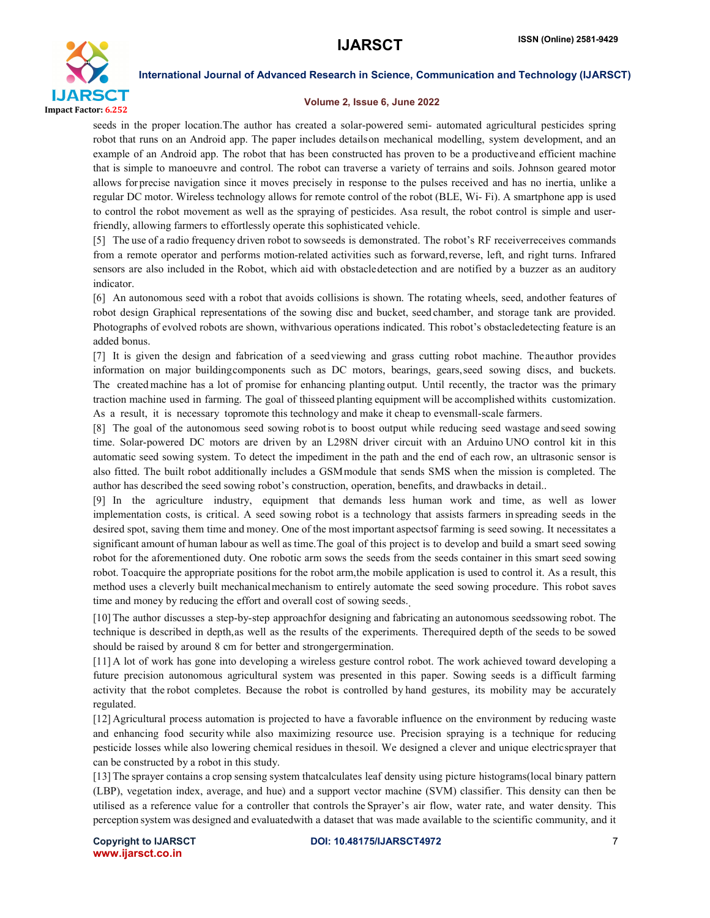

#### Volume 2, Issue 6, June 2022

seeds in the proper location.The author has created a solar-powered semi- automated agricultural pesticides spring robot that runs on an Android app. The paper includes details on mechanical modelling, system development, and an example of an Android app. The robot that has been constructed has proven to be a productiveand efficient machine that is simple to manoeuvre and control. The robot can traverse a variety of terrains and soils. Johnson geared motor allows for precise navigation since it moves precisely in response to the pulses received and has no inertia, unlike a regular DC motor. Wireless technology allows for remote control of the robot (BLE, Wi- Fi). A smartphone app is used to control the robot movement as well as the spraying of pesticides. Asa result, the robot control is simple and userfriendly, allowing farmers to effortlessly operate this sophisticated vehicle.

[5] The use of a radio frequency driven robot to sowseeds is demonstrated. The robot's RF receiverreceives commands from a remote operator and performs motion-related activities such as forward,reverse, left, and right turns. Infrared sensors are also included in the Robot, which aid with obstacledetection and are notified by a buzzer as an auditory indicator.

[6] An autonomous seed with a robot that avoids collisions is shown. The rotating wheels, seed, andother features of robot design Graphical representations of the sowing disc and bucket, seed chamber, and storage tank are provided. Photographs of evolved robots are shown, withvarious operations indicated. This robot's obstacledetecting feature is an added bonus.

[7] It is given the design and fabrication of a seedviewing and grass cutting robot machine. Theauthor provides information on major buildingcomponents such as DC motors, bearings, gears,seed sowing discs, and buckets. The created machine has a lot of promise for enhancing planting output. Until recently, the tractor was the primary traction machine used in farming. The goal of thisseed planting equipment will be accomplished withits customization. As a result, it is necessary topromote this technology and make it cheap to evensmall-scale farmers.

[8] The goal of the autonomous seed sowing robotis to boost output while reducing seed wastage and seed sowing time. Solar-powered DC motors are driven by an L298N driver circuit with an Arduino UNO control kit in this automatic seed sowing system. To detect the impediment in the path and the end of each row, an ultrasonic sensor is also fitted. The built robot additionally includes a GSMmodule that sends SMS when the mission is completed. The author has described the seed sowing robot's construction, operation, benefits, and drawbacks in detail..

[9] In the agriculture industry, equipment that demands less human work and time, as well as lower implementation costs, is critical. A seed sowing robot is a technology that assists farmers in spreading seeds in the desired spot, saving them time and money. One of the most important aspectsof farming is seed sowing. It necessitates a significant amount of human labour as well as time.The goal of this project is to develop and build a smart seed sowing robot for the aforementioned duty. One robotic arm sows the seeds from the seeds container in this smart seed sowing robot. Toacquire the appropriate positions for the robot arm,the mobile application is used to control it. As a result, this method uses a cleverly built mechanicalmechanism to entirely automate the seed sowing procedure. This robot saves time and money by reducing the effort and overall cost of sowing seeds.

[10] The author discusses a step-by-step approachfor designing and fabricating an autonomous seedssowing robot. The technique is described in depth,as well as the results of the experiments. Therequired depth of the seeds to be sowed should be raised by around 8 cm for better and strongergermination.

[11] A lot of work has gone into developing a wireless gesture control robot. The work achieved toward developing a future precision autonomous agricultural system was presented in this paper. Sowing seeds is a difficult farming activity that the robot completes. Because the robot is controlled by hand gestures, its mobility may be accurately regulated.

[12] Agricultural process automation is projected to have a favorable influence on the environment by reducing waste and enhancing food security while also maximizing resource use. Precision spraying is a technique for reducing pesticide losses while also lowering chemical residues in thesoil. We designed a clever and unique electricsprayer that can be constructed by a robot in this study.

[13] The sprayer contains a crop sensing system thatcalculates leaf density using picture histograms(local binary pattern (LBP), vegetation index, average, and hue) and a support vector machine (SVM) classifier. This density can then be utilised as a reference value for a controller that controls the Sprayer's air flow, water rate, and water density. This perception system was designed and evaluatedwith a dataset that was made available to the scientific community, and it

www.ijarsct.co.in

Copyright to IJARSCTDOI: 10.48175/IJARSCT4972 **7**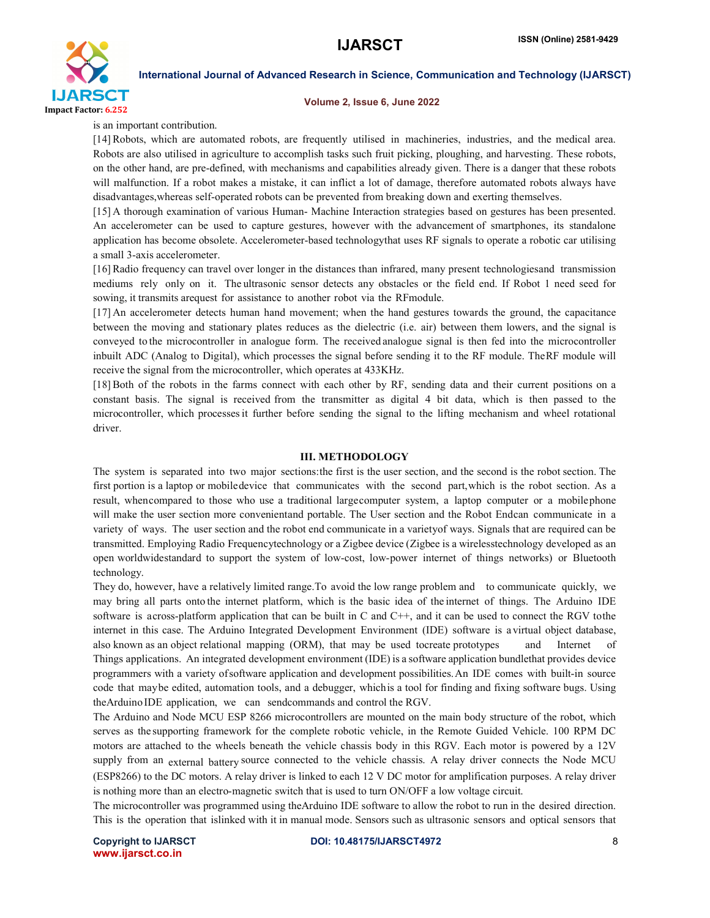

#### Volume 2, Issue 6, June 2022

is an important contribution.

[14] Robots, which are automated robots, are frequently utilised in machineries, industries, and the medical area. Robots are also utilised in agriculture to accomplish tasks such fruit picking, ploughing, and harvesting. These robots, on the other hand, are pre-defined, with mechanisms and capabilities already given. There is a danger that these robots will malfunction. If a robot makes a mistake, it can inflict a lot of damage, therefore automated robots always have disadvantages,whereas self-operated robots can be prevented from breaking down and exerting themselves.

[15] A thorough examination of various Human- Machine Interaction strategies based on gestures has been presented. An accelerometer can be used to capture gestures, however with the advancement of smartphones, its standalone application has become obsolete. Accelerometer-based technologythat uses RF signals to operate a robotic car utilising a small 3-axis accelerometer.

[16] Radio frequency can travel over longer in the distances than infrared, many present technologiesand transmission mediums rely only on it. The ultrasonic sensor detects any obstacles or the field end. If Robot 1 need seed for sowing, it transmits arequest for assistance to another robot via the RFmodule.

[17] An accelerometer detects human hand movement; when the hand gestures towards the ground, the capacitance between the moving and stationary plates reduces as the dielectric (i.e. air) between them lowers, and the signal is conveyed to the microcontroller in analogue form. The received analogue signal is then fed into the microcontroller inbuilt ADC (Analog to Digital), which processes the signal before sending it to the RF module. TheRF module will receive the signal from the microcontroller, which operates at 433KHz.

[18] Both of the robots in the farms connect with each other by RF, sending data and their current positions on a constant basis. The signal is received from the transmitter as digital 4 bit data, which is then passed to the microcontroller, which processesit further before sending the signal to the lifting mechanism and wheel rotational driver.

#### III. METHODOLOGY

The system is separated into two major sections:the first is the user section, and the second is the robot section. The first portion is a laptop or mobiledevice that communicates with the second part,which is the robot section. As a result, whencompared to those who use a traditional largecomputer system, a laptop computer or a mobilephone will make the user section more convenientand portable. The User section and the Robot Endcan communicate in a variety of ways. The user section and the robot end communicate in a varietyof ways. Signals that are required can be transmitted. Employing Radio Frequencytechnology or a Zigbee device (Zigbee is a wirelesstechnology developed as an open worldwidestandard to support the system of low-cost, low-power internet of things networks) or Bluetooth technology.

They do, however, have a relatively limited range.To avoid the low range problem and to communicate quickly, we may bring all parts onto the internet platform, which is the basic idea of the internet of things. The Arduino IDE software is across-platform application that can be built in C and C++, and it can be used to connect the RGV tothe internet in this case. The Arduino Integrated Development Environment (IDE) software is a virtual object database, also known as an object relational mapping (ORM), that may be used tocreate prototypes and Internet of Things applications. An integrated development environment (IDE) is a software application bundlethat provides device programmers with a variety ofsoftware application and development possibilities.An IDE comes with built-in source code that maybe edited, automation tools, and a debugger, whichis a tool for finding and fixing software bugs. Using theArduino IDE application, we can sendcommands and control the RGV.

The Arduino and Node MCU ESP 8266 microcontrollers are mounted on the main body structure of the robot, which serves as the supporting framework for the complete robotic vehicle, in the Remote Guided Vehicle. 100 RPM DC motors are attached to the wheels beneath the vehicle chassis body in this RGV. Each motor is powered by a 12V supply from an external battery source connected to the vehicle chassis. A relay driver connects the Node MCU (ESP8266) to the DC motors. A relay driver is linked to each 12 V DC motor for amplification purposes. A relay driver is nothing more than an electro-magnetic switch that is used to turn ON/OFF a low voltage circuit.

The microcontroller was programmed using theArduino IDE software to allow the robot to run in the desired direction. This is the operation that islinked with it in manual mode. Sensors such as ultrasonic sensors and optical sensors that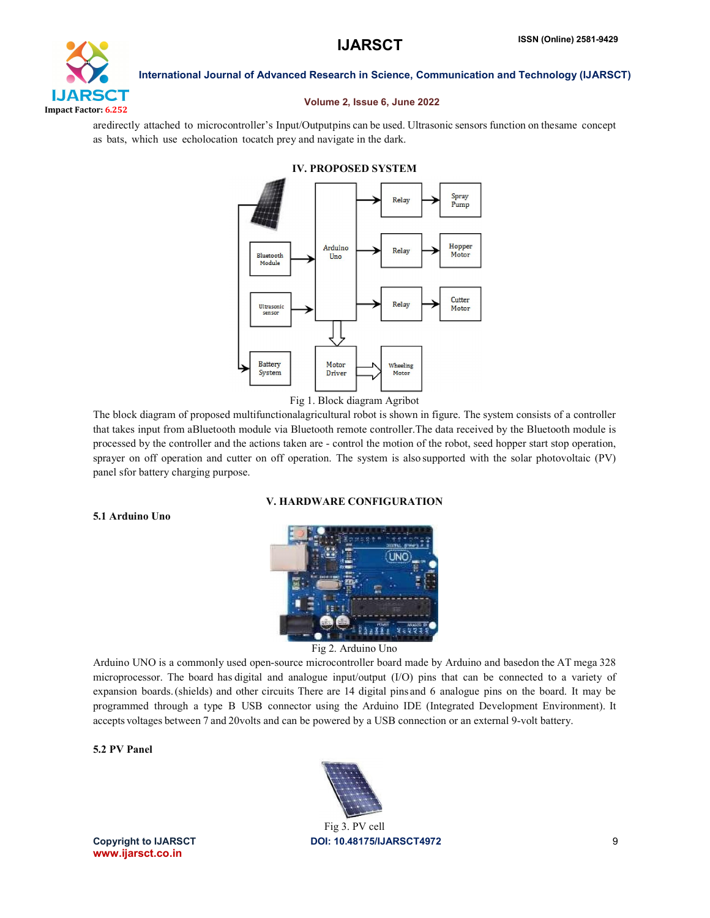# **IJARSCT** Impact Factor: 6.252

International Journal of Advanced Research in Science, Communication and Technology (IJARSCT)

#### Volume 2, Issue 6, June 2022

aredirectly attached to microcontroller's Input/Outputpins can be used. Ultrasonic sensors function on thesame concept as bats, which use echolocation tocatch prey and navigate in the dark.



#### IV. PROPOSED SYSTEM

Fig 1. Block diagram Agribot

The block diagram of proposed multifunctionalagricultural robot is shown in figure. The system consists of a controller that takes input from aBluetooth module via Bluetooth remote controller.The data received by the Bluetooth module is processed by the controller and the actions taken are - control the motion of the robot, seed hopper start stop operation, sprayer on off operation and cutter on off operation. The system is also supported with the solar photovoltaic (PV) panel sfor battery charging purpose.

#### V. HARDWARE CONFIGURATION

### 5.1 Arduino Uno



Fig 2. Arduino Uno

Arduino UNO is a commonly used open-source microcontroller board made by Arduino and basedon the AT mega 328 microprocessor. The board has digital and analogue input/output (I/O) pins that can be connected to a variety of expansion boards.(shields) and other circuits There are 14 digital pins and 6 analogue pins on the board. It may be programmed through a type B USB connector using the Arduino IDE (Integrated Development Environment). It accepts voltages between 7 and 20volts and can be powered by a USB connection or an external 9-volt battery.

#### 5.2 PV Panel

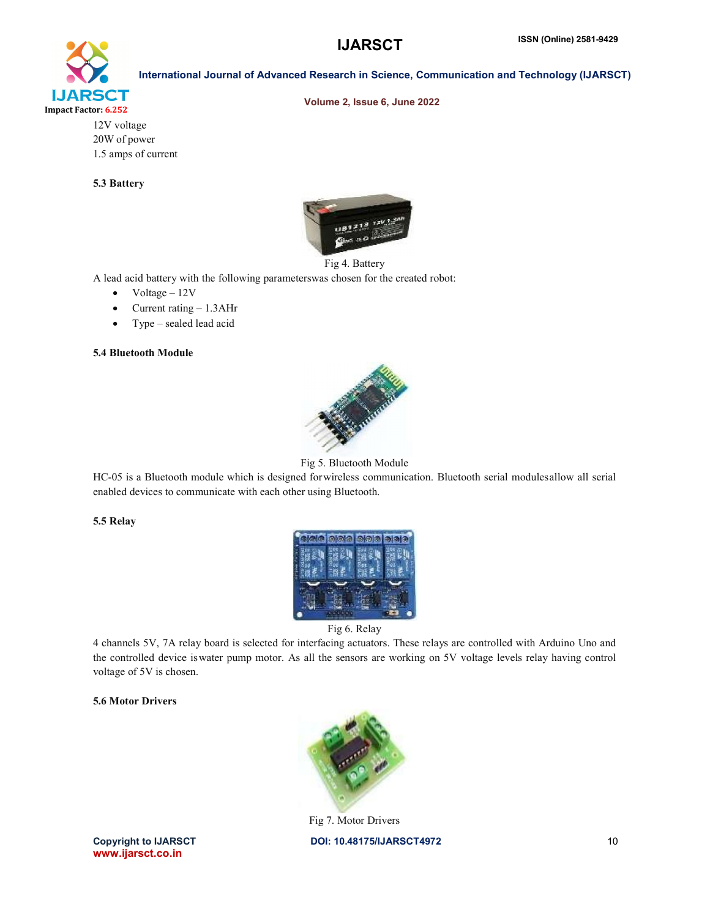Volume 2, Issue 6, June 2022

International Journal of Advanced Research in Science, Communication and Technology (IJARSCT)



12V voltage 20W of power 1.5 amps of current

### 5.3 Battery



#### Fig 4. Battery

A lead acid battery with the following parameterswas chosen for the created robot:

- $\bullet$  Voltage 12V
- Current rating 1.3AHr
- Type sealed lead acid

#### 5.4 Bluetooth Module



Fig 5. Bluetooth Module

HC-05 is a Bluetooth module which is designed forwireless communication. Bluetooth serial modulesallow all serial enabled devices to communicate with each other using Bluetooth.

#### 5.5 Relay



Fig 6. Relay

4 channels 5V, 7A relay board is selected for interfacing actuators. These relays are controlled with Arduino Uno and the controlled device iswater pump motor. As all the sensors are working on 5V voltage levels relay having control voltage of 5V is chosen.

### 5.6 Motor Drivers



Copyright to IJARSCTDOI: 10.48175/IJARSCT4972 **10** Fig 7. Motor Drivers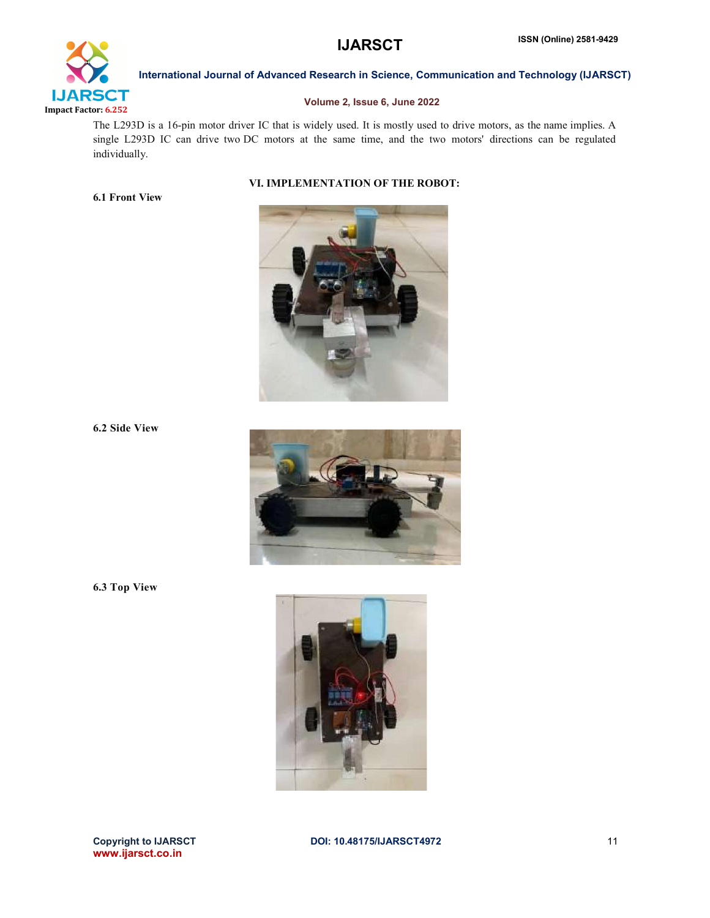

### Volume 2, Issue 6, June 2022

The L293D is a 16-pin motor driver IC that is widely used. It is mostly used to drive motors, as the name implies. A single L293D IC can drive two DC motors at the same time, and the two motors' directions can be regulated individually.

#### VI. IMPLEMENTATION OF THE ROBOT:



6.2 Side View

6.3 Top View

6.1 Front View





www.ijarsct.co.in

Copyright to IJARSCTDOI: 10.48175/IJARSCT4972 **11**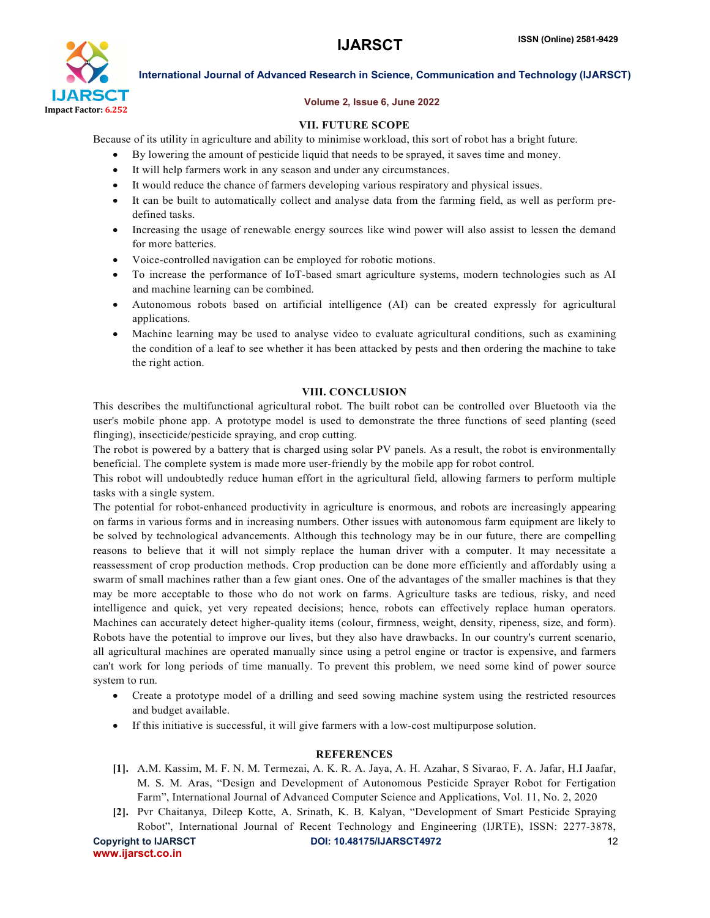

### Volume 2, Issue 6, June 2022

### VII. FUTURE SCOPE

Because of its utility in agriculture and ability to minimise workload, this sort of robot has a bright future.

- By lowering the amount of pesticide liquid that needs to be sprayed, it saves time and money.
- It will help farmers work in any season and under any circumstances.
- It would reduce the chance of farmers developing various respiratory and physical issues.
- It can be built to automatically collect and analyse data from the farming field, as well as perform predefined tasks.
- Increasing the usage of renewable energy sources like wind power will also assist to lessen the demand for more batteries.
- Voice-controlled navigation can be employed for robotic motions.
- To increase the performance of IoT-based smart agriculture systems, modern technologies such as AI and machine learning can be combined.
- Autonomous robots based on artificial intelligence (AI) can be created expressly for agricultural applications.
- Machine learning may be used to analyse video to evaluate agricultural conditions, such as examining the condition of a leaf to see whether it has been attacked by pests and then ordering the machine to take the right action.

#### VIII. CONCLUSION

This describes the multifunctional agricultural robot. The built robot can be controlled over Bluetooth via the user's mobile phone app. A prototype model is used to demonstrate the three functions of seed planting (seed flinging), insecticide/pesticide spraying, and crop cutting.

The robot is powered by a battery that is charged using solar PV panels. As a result, the robot is environmentally beneficial. The complete system is made more user-friendly by the mobile app for robot control.

This robot will undoubtedly reduce human effort in the agricultural field, allowing farmers to perform multiple tasks with a single system.

The potential for robot-enhanced productivity in agriculture is enormous, and robots are increasingly appearing on farms in various forms and in increasing numbers. Other issues with autonomous farm equipment are likely to be solved by technological advancements. Although this technology may be in our future, there are compelling reasons to believe that it will not simply replace the human driver with a computer. It may necessitate a reassessment of crop production methods. Crop production can be done more efficiently and affordably using a swarm of small machines rather than a few giant ones. One of the advantages of the smaller machines is that they may be more acceptable to those who do not work on farms. Agriculture tasks are tedious, risky, and need intelligence and quick, yet very repeated decisions; hence, robots can effectively replace human operators. Machines can accurately detect higher-quality items (colour, firmness, weight, density, ripeness, size, and form). Robots have the potential to improve our lives, but they also have drawbacks. In our country's current scenario, all agricultural machines are operated manually since using a petrol engine or tractor is expensive, and farmers can't work for long periods of time manually. To prevent this problem, we need some kind of power source system to run.

- Create a prototype model of a drilling and seed sowing machine system using the restricted resources and budget available.
- If this initiative is successful, it will give farmers with a low-cost multipurpose solution.

### **REFERENCES**

- [1]. A.M. Kassim, M. F. N. M. Termezai, A. K. R. A. Jaya, A. H. Azahar, S Sivarao, F. A. Jafar, H.I Jaafar, M. S. M. Aras, "Design and Development of Autonomous Pesticide Sprayer Robot for Fertigation Farm", International Journal of Advanced Computer Science and Applications, Vol. 11, No. 2, 2020
- [2]. Pvr Chaitanya, Dileep Kotte, A. Srinath, K. B. Kalyan, "Development of Smart Pesticide Spraying Robot", International Journal of Recent Technology and Engineering (IJRTE), ISSN: 2277-3878,